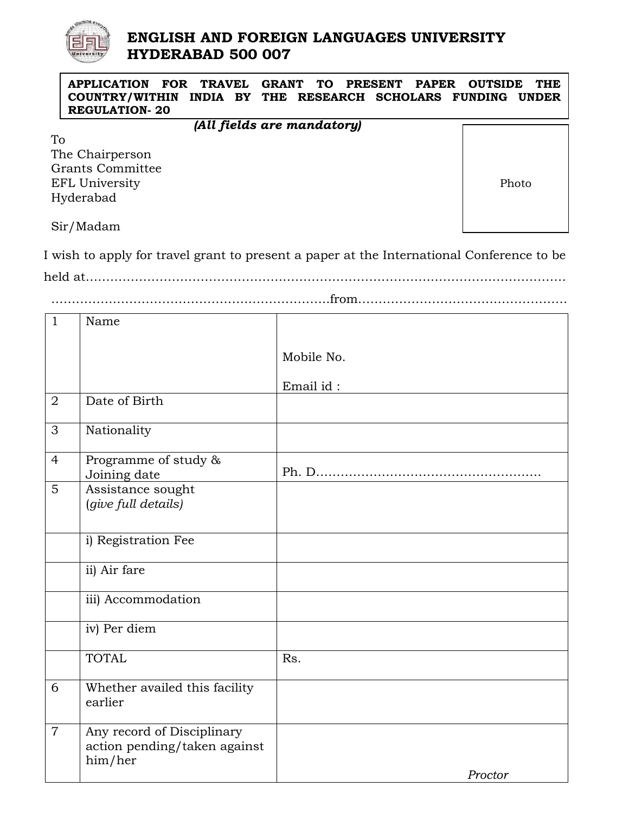

# **ENGLISH AND FOREIGN LANGUAGES UNIVERSITY HYDERABAD 500 007**

| APPLICATION FOR TRAVEL GRANT TO PRESENT PAPER OUTSIDE THE   |  |  |  |  |  |
|-------------------------------------------------------------|--|--|--|--|--|
| COUNTRY/WITHIN INDIA BY THE RESEARCH SCHOLARS FUNDING UNDER |  |  |  |  |  |
| <b>REGULATION-20</b>                                        |  |  |  |  |  |

# *(All fields are mandatory)*

To The Chairperson Grants Committee EFL University Hyderabad

Photo

Sir/Madam

I wish to apply for travel grant to present a paper at the International Conference to be

held at………………………………………………………………………………………………………

…………………………………………………………..from……………………………………………

| $\mathbf{1}$   | Name                                                                  |            |
|----------------|-----------------------------------------------------------------------|------------|
|                |                                                                       | Mobile No. |
|                |                                                                       | Email id:  |
| $\overline{2}$ | Date of Birth                                                         |            |
| 3              | Nationality                                                           |            |
| $\overline{4}$ | Programme of study &<br>Joining date                                  |            |
| 5              | Assistance sought<br>(give full details)                              |            |
|                | i) Registration Fee                                                   |            |
|                | ii) Air fare                                                          |            |
|                | iii) Accommodation                                                    |            |
|                | iv) Per diem                                                          |            |
|                | <b>TOTAL</b>                                                          | Rs.        |
| 6              | Whether availed this facility<br>earlier                              |            |
| $\overline{7}$ | Any record of Disciplinary<br>action pending/taken against<br>him/her |            |
|                |                                                                       | Proctor    |